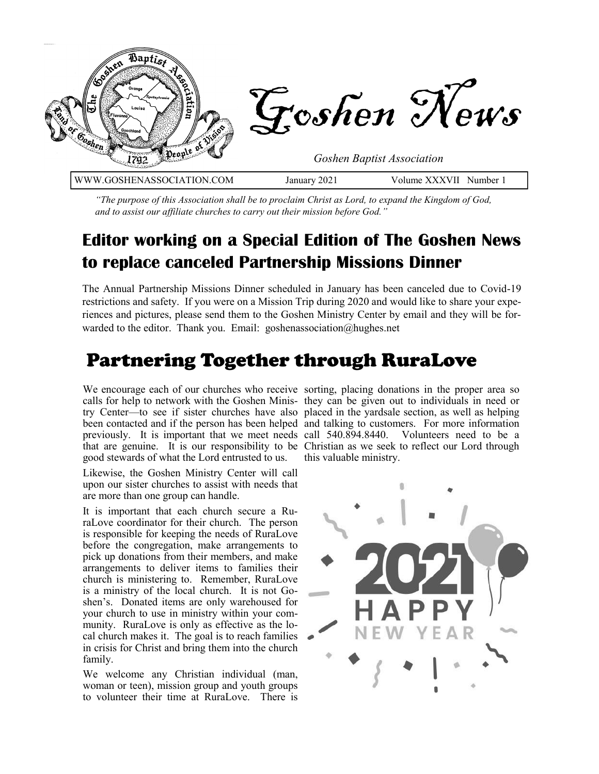

*"The purpose of this Association shall be to proclaim Christ as Lord, to expand the Kingdom of God, and to assist our affiliate churches to carry out their mission before God."*

#### **Editor working on a Special Edition of The Goshen News to replace canceled Partnership Missions Dinner**

The Annual Partnership Missions Dinner scheduled in January has been canceled due to Covid-19 restrictions and safety. If you were on a Mission Trip during 2020 and would like to share your experiences and pictures, please send them to the Goshen Ministry Center by email and they will be forwarded to the editor. Thank you. Email: goshenassociation@hughes.net

#### Partnering Together through RuraLove

good stewards of what the Lord entrusted to us.

Likewise, the Goshen Ministry Center will call upon our sister churches to assist with needs that are more than one group can handle.

It is important that each church secure a RuraLove coordinator for their church. The person is responsible for keeping the needs of RuraLove before the congregation, make arrangements to pick up donations from their members, and make arrangements to deliver items to families their church is ministering to. Remember, RuraLove is a ministry of the local church. It is not Goshen's. Donated items are only warehoused for your church to use in ministry within your community. RuraLove is only as effective as the local church makes it. The goal is to reach families in crisis for Christ and bring them into the church family.

We welcome any Christian individual (man, woman or teen), mission group and youth groups to volunteer their time at RuraLove. There is

We encourage each of our churches who receive sorting, placing donations in the proper area so calls for help to network with the Goshen Minis-they can be given out to individuals in need or try Center—to see if sister churches have also placed in the yardsale section, as well as helping been contacted and if the person has been helped and talking to customers. For more information previously. It is important that we meet needs call 540.894.8440. Volunteers need to be a that are genuine. It is our responsibility to be Christian as we seek to reflect our Lord through this valuable ministry.

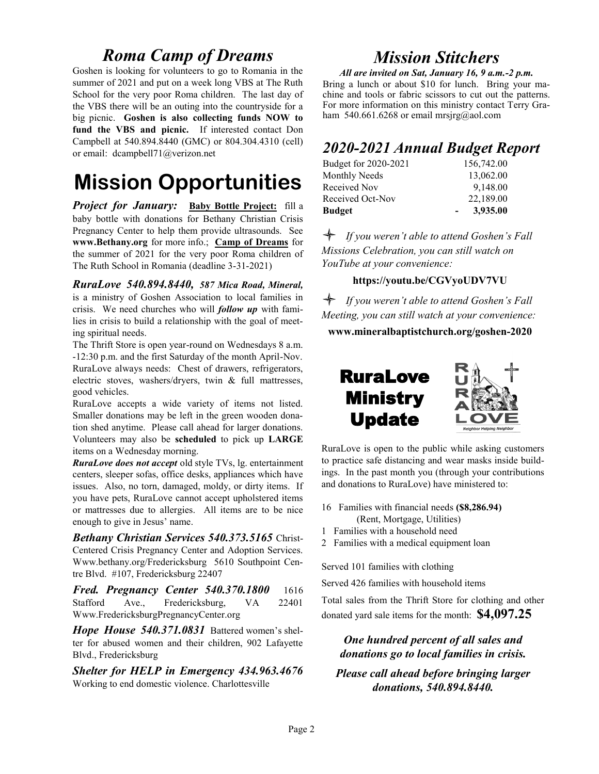#### *Roma Camp of Dreams*

Goshen is looking for volunteers to go to Romania in the summer of 2021 and put on a week long VBS at The Ruth School for the very poor Roma children. The last day of the VBS there will be an outing into the countryside for a big picnic. **Goshen is also collecting funds NOW to fund the VBS and picnic.** If interested contact Don Campbell at 540.894.8440 (GMC) or 804.304.4310 (cell) or email: dcampbell71@verizon.net

## **Mission Opportunities**

*Project for January:* **Baby Bottle Project:** fill a baby bottle with donations for Bethany Christian Crisis Pregnancy Center to help them provide ultrasounds. See **www.Bethany.org** for more info.; **Camp of Dreams** for the summer of 2021 for the very poor Roma children of The Ruth School in Romania (deadline 3-31-2021)

*RuraLove 540.894.8440, 587 Mica Road, Mineral,* is a ministry of Goshen Association to local families in crisis. We need churches who will *follow up* with families in crisis to build a relationship with the goal of meeting spiritual needs.

The Thrift Store is open year-round on Wednesdays 8 a.m. -12:30 p.m. and the first Saturday of the month April-Nov. RuraLove always needs: Chest of drawers, refrigerators, electric stoves, washers/dryers, twin & full mattresses, good vehicles.

RuraLove accepts a wide variety of items not listed. Smaller donations may be left in the green wooden donation shed anytime. Please call ahead for larger donations. Volunteers may also be **scheduled** to pick up **LARGE** items on a Wednesday morning.

*RuraLove does not accept* old style TVs, lg. entertainment centers, sleeper sofas, office desks, appliances which have issues. Also, no torn, damaged, moldy, or dirty items. If you have pets, RuraLove cannot accept upholstered items or mattresses due to allergies. All items are to be nice enough to give in Jesus' name.

*Bethany Christian Services 540.373.5165* Christ-Centered Crisis Pregnancy Center and Adoption Services. Www.bethany.org/Fredericksburg 5610 Southpoint Centre Blvd. #107, Fredericksburg 22407

*Fred. Pregnancy Center 540.370.1800* 1616 Stafford Ave., Fredericksburg, VA 22401 Www.FredericksburgPregnancyCenter.org

*Hope House 540.371.0831* Battered women's shelter for abused women and their children, 902 Lafayette Blvd., Fredericksburg

*Shelter for HELP in Emergency 434.963.4676*  Working to end domestic violence. Charlottesville

#### *Mission Stitchers*

*All are invited on Sat, January 16, 9 a.m.-2 p.m.*  Bring a lunch or about \$10 for lunch. Bring your machine and tools or fabric scissors to cut out the patterns. For more information on this ministry contact Terry Graham 540.661.6268 or email mrsjrg@aol.com

#### *2020-2021 Annual Budget Report*

| <b>Budget</b>        | 3,935.00   |
|----------------------|------------|
| Received Oct-Nov     | 22,189.00  |
| Received Nov         | 9,148.00   |
| <b>Monthly Needs</b> | 13,062.00  |
| Budget for 2020-2021 | 156,742.00 |

 *If you weren't able to attend Goshen's Fall Missions Celebration, you can still watch on YouTube at your convenience:*

#### **https://youtu.be/CGVyoUDV7VU**

 *If you weren't able to attend Goshen's Fall Meeting, you can still watch at your convenience:* **www.mineralbaptistchurch.org/goshen-2020**



RuraLove is open to the public while asking customers to practice safe distancing and wear masks inside buildings. In the past month you (through your contributions and donations to RuraLove) have ministered to:

- 16 Families with financial needs **(\$8,286.94)** (Rent, Mortgage, Utilities)
- 1 Families with a household need
- 2 Families with a medical equipment loan

Served 101 families with clothing

Served 426 families with household items

Total sales from the Thrift Store for clothing and other donated yard sale items for the month: **\$4,097.25** 

#### *One hundred percent of all sales and donations go to local families in crisis.*

*Please call ahead before bringing larger donations, 540.894.8440.*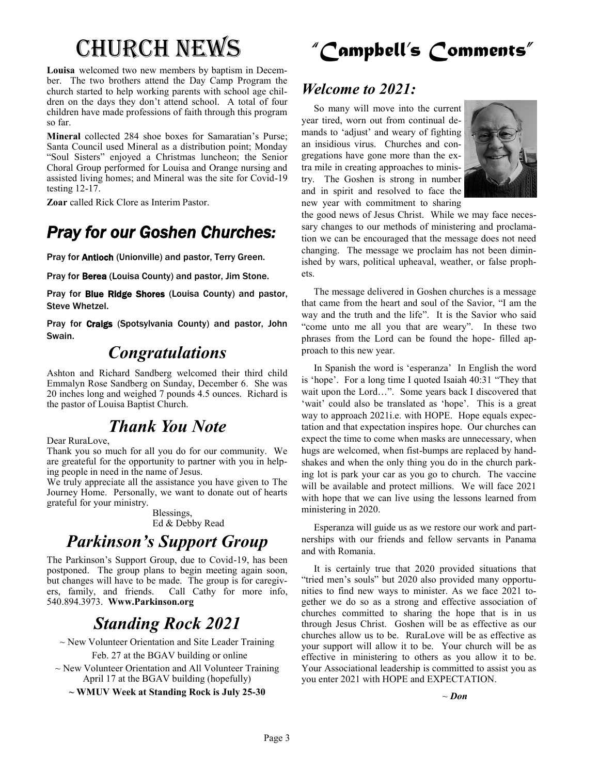**Louisa** welcomed two new members by baptism in December. The two brothers attend the Day Camp Program the church started to help working parents with school age children on the days they don't attend school. A total of four children have made professions of faith through this program so far.

**Mineral** collected 284 shoe boxes for Samaratian's Purse; Santa Council used Mineral as a distribution point; Monday "Soul Sisters" enjoyed a Christmas luncheon; the Senior Choral Group performed for Louisa and Orange nursing and assisted living homes; and Mineral was the site for Covid-19 testing 12-17.

**Zoar** called Rick Clore as Interim Pastor.

## *Pray for our Goshen Churches:*

Pray for Antioch (Unionville) and pastor, Terry Green.

Pray for Berea (Louisa County) and pastor, Jim Stone.

Pray for Blue Ridge Shores (Louisa County) and pastor, Steve Whetzel.

Pray for Craigs (Spotsylvania County) and pastor, John Swain.

#### *Congratulations*

Ashton and Richard Sandberg welcomed their third child Emmalyn Rose Sandberg on Sunday, December 6. She was 20 inches long and weighed 7 pounds 4.5 ounces. Richard is the pastor of Louisa Baptist Church.

#### *Thank You Note*

Dear RuraLove,

Thank you so much for all you do for our community. We are greateful for the opportunity to partner with you in helping people in need in the name of Jesus.

We truly appreciate all the assistance you have given to The Journey Home. Personally, we want to donate out of hearts grateful for your ministry.

> Blessings, Ed & Debby Read

## *Parkinson's Support Group*

The Parkinson's Support Group, due to Covid-19, has been postponed. The group plans to begin meeting again soon, but changes will have to be made. The group is for caregivers, family, and friends. Call Cathy for more info, 540.894.3973. **Www.Parkinson.org**

## *Standing Rock 2021*

 $\sim$  New Volunteer Orientation and Site Leader Training Feb. 27 at the BGAV building or online

 $\sim$  New Volunteer Orientation and All Volunteer Training April 17 at the BGAV building (hopefully)

**~ WMUV Week at Standing Rock is July 25-30**

## Church News *"Campbell's Comments"*

#### *Welcome to 2021:*

 So many will move into the current year tired, worn out from continual demands to 'adjust' and weary of fighting an insidious virus. Churches and congregations have gone more than the extra mile in creating approaches to ministry. The Goshen is strong in number and in spirit and resolved to face the new year with commitment to sharing



the good news of Jesus Christ. While we may face necessary changes to our methods of ministering and proclamation we can be encouraged that the message does not need changing. The message we proclaim has not been diminished by wars, political upheaval, weather, or false prophets.

 The message delivered in Goshen churches is a message that came from the heart and soul of the Savior, "I am the way and the truth and the life". It is the Savior who said "come unto me all you that are weary". In these two phrases from the Lord can be found the hope- filled approach to this new year.

 In Spanish the word is 'esperanza' In English the word is 'hope'. For a long time I quoted Isaiah 40:31 "They that wait upon the Lord…". Some years back I discovered that 'wait' could also be translated as 'hope'. This is a great way to approach 2021i.e. with HOPE. Hope equals expectation and that expectation inspires hope. Our churches can expect the time to come when masks are unnecessary, when hugs are welcomed, when fist-bumps are replaced by handshakes and when the only thing you do in the church parking lot is park your car as you go to church. The vaccine will be available and protect millions. We will face 2021 with hope that we can live using the lessons learned from ministering in 2020.

 Esperanza will guide us as we restore our work and partnerships with our friends and fellow servants in Panama and with Romania.

 It is certainly true that 2020 provided situations that "tried men's souls" but 2020 also provided many opportunities to find new ways to minister. As we face 2021 together we do so as a strong and effective association of churches committed to sharing the hope that is in us through Jesus Christ. Goshen will be as effective as our churches allow us to be. RuraLove will be as effective as your support will allow it to be. Your church will be as effective in ministering to others as you allow it to be. Your Associational leadership is committed to assist you as you enter 2021 with HOPE and EXPECTATION.